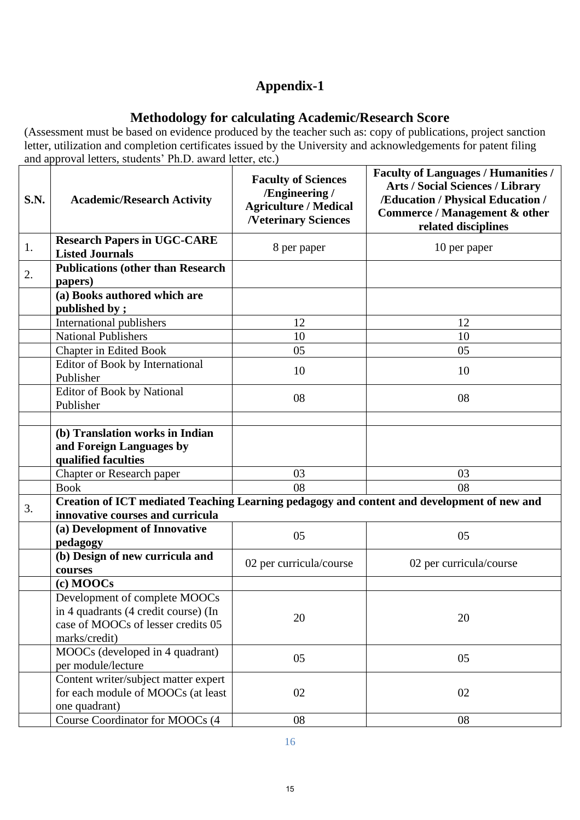## **Appendix-1**

## **Methodology for calculating Academic/Research Score**

(Assessment must be based on evidence produced by the teacher such as: copy of publications, project sanction letter, utilization and completion certificates issued by the University and acknowledgements for patent filing and approval letters, students' Ph.D. award letter, etc.)

| S.N. | <b>Academic/Research Activity</b>                                                                                              | <b>Faculty of Sciences</b><br>/Engineering /<br><b>Agriculture / Medical</b><br><b>/Veterinary Sciences</b> | <b>Faculty of Languages / Humanities /</b><br><b>Arts / Social Sciences / Library</b><br>/Education / Physical Education /<br>Commerce / Management & other<br>related disciplines |
|------|--------------------------------------------------------------------------------------------------------------------------------|-------------------------------------------------------------------------------------------------------------|------------------------------------------------------------------------------------------------------------------------------------------------------------------------------------|
| 1.   | <b>Research Papers in UGC-CARE</b><br><b>Listed Journals</b>                                                                   | 8 per paper                                                                                                 | 10 per paper                                                                                                                                                                       |
| 2.   | <b>Publications (other than Research</b><br>papers)                                                                            |                                                                                                             |                                                                                                                                                                                    |
|      | (a) Books authored which are<br>published by;                                                                                  |                                                                                                             |                                                                                                                                                                                    |
|      | International publishers                                                                                                       | 12                                                                                                          | 12                                                                                                                                                                                 |
|      | <b>National Publishers</b>                                                                                                     | 10                                                                                                          | 10                                                                                                                                                                                 |
|      | <b>Chapter in Edited Book</b>                                                                                                  | 05                                                                                                          | 05                                                                                                                                                                                 |
|      | Editor of Book by International<br>Publisher                                                                                   | 10                                                                                                          | 10                                                                                                                                                                                 |
|      | Editor of Book by National<br>Publisher                                                                                        | 08                                                                                                          | 08                                                                                                                                                                                 |
|      |                                                                                                                                |                                                                                                             |                                                                                                                                                                                    |
|      | (b) Translation works in Indian                                                                                                |                                                                                                             |                                                                                                                                                                                    |
|      | and Foreign Languages by                                                                                                       |                                                                                                             |                                                                                                                                                                                    |
|      | qualified faculties                                                                                                            |                                                                                                             |                                                                                                                                                                                    |
|      | Chapter or Research paper                                                                                                      | 03                                                                                                          | 03                                                                                                                                                                                 |
|      | <b>Book</b>                                                                                                                    | 08                                                                                                          | 08                                                                                                                                                                                 |
| 3.   | Creation of ICT mediated Teaching Learning pedagogy and content and development of new and<br>innovative courses and curricula |                                                                                                             |                                                                                                                                                                                    |
|      | (a) Development of Innovative<br>pedagogy                                                                                      | 05                                                                                                          | 05                                                                                                                                                                                 |
|      | (b) Design of new curricula and<br>courses                                                                                     | 02 per curricula/course                                                                                     | 02 per curricula/course                                                                                                                                                            |
|      | (c) MOOCs                                                                                                                      |                                                                                                             |                                                                                                                                                                                    |
|      | Development of complete MOOCs                                                                                                  |                                                                                                             |                                                                                                                                                                                    |
|      | in 4 quadrants (4 credit course) (In                                                                                           | 20                                                                                                          | 20                                                                                                                                                                                 |
|      | case of MOOCs of lesser credits 05                                                                                             |                                                                                                             |                                                                                                                                                                                    |
|      | marks/credit)                                                                                                                  |                                                                                                             |                                                                                                                                                                                    |
|      | MOOCs (developed in 4 quadrant)<br>per module/lecture                                                                          | 05                                                                                                          | 05                                                                                                                                                                                 |
|      | Content writer/subject matter expert                                                                                           |                                                                                                             |                                                                                                                                                                                    |
|      | for each module of MOOCs (at least<br>one quadrant)                                                                            | 02                                                                                                          | 02                                                                                                                                                                                 |
|      | Course Coordinator for MOOCs (4                                                                                                | 08                                                                                                          | 08                                                                                                                                                                                 |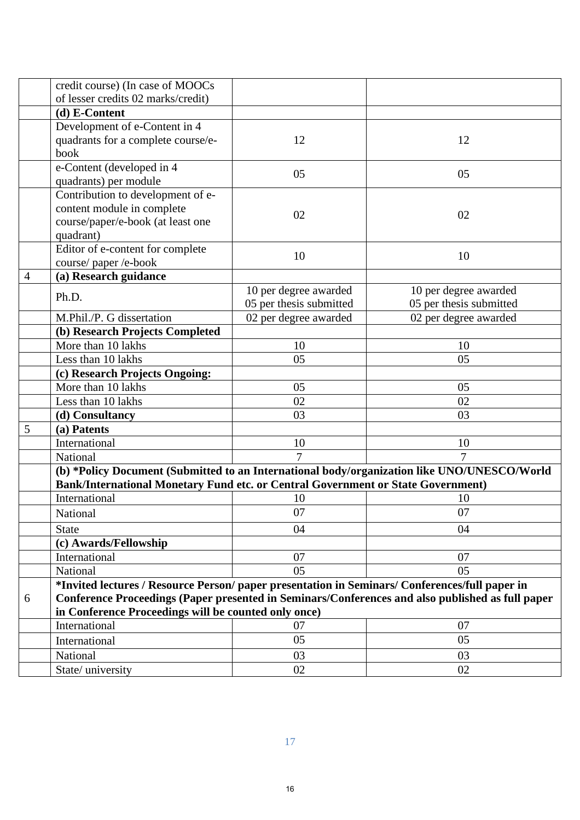|   | credit course) (In case of MOOCs                                                                 |                         |                         |  |  |
|---|--------------------------------------------------------------------------------------------------|-------------------------|-------------------------|--|--|
|   | of lesser credits 02 marks/credit)                                                               |                         |                         |  |  |
|   | (d) E-Content                                                                                    |                         |                         |  |  |
|   | Development of e-Content in 4                                                                    |                         |                         |  |  |
|   | quadrants for a complete course/e-                                                               | 12                      | 12                      |  |  |
|   | book                                                                                             |                         |                         |  |  |
|   | e-Content (developed in 4                                                                        | 05                      | 05                      |  |  |
|   | quadrants) per module                                                                            |                         |                         |  |  |
|   | Contribution to development of e-                                                                |                         |                         |  |  |
|   | content module in complete                                                                       | 02                      | 02                      |  |  |
|   | course/paper/e-book (at least one                                                                |                         |                         |  |  |
|   | quadrant)                                                                                        |                         |                         |  |  |
|   | Editor of e-content for complete                                                                 | 10                      | 10                      |  |  |
|   | course/paper/e-book                                                                              |                         |                         |  |  |
| 4 | (a) Research guidance                                                                            |                         |                         |  |  |
|   | Ph.D.                                                                                            | 10 per degree awarded   | 10 per degree awarded   |  |  |
|   |                                                                                                  | 05 per thesis submitted | 05 per thesis submitted |  |  |
|   | M.Phil./P. G dissertation                                                                        | 02 per degree awarded   | 02 per degree awarded   |  |  |
|   | (b) Research Projects Completed                                                                  |                         |                         |  |  |
|   | More than 10 lakhs                                                                               | 10                      | 10                      |  |  |
|   | Less than 10 lakhs                                                                               | 05                      | 05                      |  |  |
|   | (c) Research Projects Ongoing:                                                                   |                         |                         |  |  |
|   | More than 10 lakhs                                                                               | 05                      | 05                      |  |  |
|   | Less than 10 lakhs                                                                               | 02                      | 02                      |  |  |
|   | (d) Consultancy                                                                                  | 03                      | 03                      |  |  |
| 5 | (a) Patents                                                                                      |                         |                         |  |  |
|   | International                                                                                    | 10                      | 10                      |  |  |
|   | National                                                                                         | $\overline{7}$          | $\overline{7}$          |  |  |
|   | (b) *Policy Document (Submitted to an International body/organization like UNO/UNESCO/World      |                         |                         |  |  |
|   | Bank/International Monetary Fund etc. or Central Government or State Government)                 |                         |                         |  |  |
|   | International                                                                                    | 10                      | 10                      |  |  |
|   | National                                                                                         | 07                      | 07                      |  |  |
|   | <b>State</b>                                                                                     | 04                      | 04                      |  |  |
|   | (c) Awards/Fellowship                                                                            |                         |                         |  |  |
|   | International                                                                                    | 07                      | 07                      |  |  |
|   | National                                                                                         | 05                      | 05                      |  |  |
|   | *Invited lectures / Resource Person/ paper presentation in Seminars/ Conferences/full paper in   |                         |                         |  |  |
| 6 | Conference Proceedings (Paper presented in Seminars/Conferences and also published as full paper |                         |                         |  |  |
|   | in Conference Proceedings will be counted only once)                                             |                         |                         |  |  |
|   | International                                                                                    | 07                      | 07                      |  |  |
|   | International                                                                                    | 05                      | 05                      |  |  |
|   | National                                                                                         | 03                      | 03                      |  |  |
|   | State/university                                                                                 | 02                      | 02                      |  |  |
|   |                                                                                                  |                         |                         |  |  |